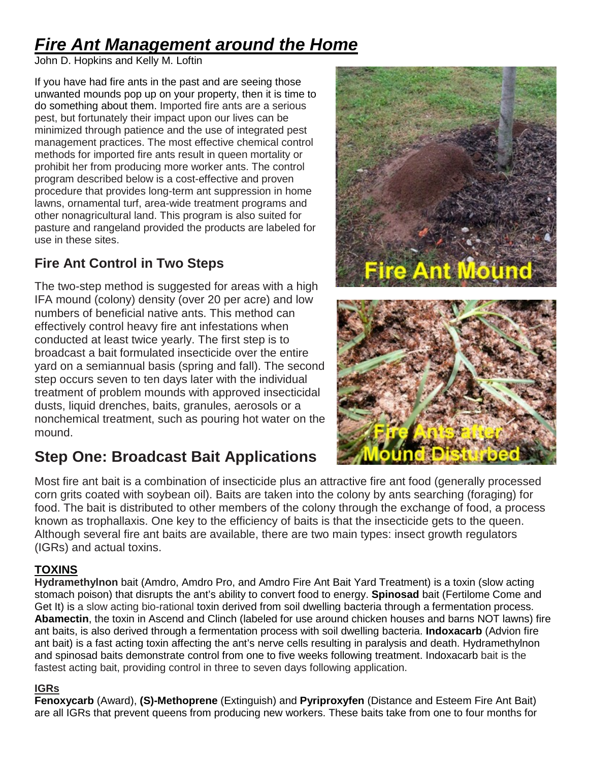# *Fire Ant Management around the Home*

John D. Hopkins and Kelly M. Loftin

If you have had fire ants in the past and are seeing those unwanted mounds pop up on your property, then it is time to do something about them. Imported fire ants are a serious pest, but fortunately their impact upon our lives can be minimized through patience and the use of integrated pest management practices. The most effective chemical control methods for imported fire ants result in queen mortality or prohibit her from producing more worker ants. The control program described below is a cost-effective and proven procedure that provides long-term ant suppression in home lawns, ornamental turf, area-wide treatment programs and other nonagricultural land. This program is also suited for pasture and rangeland provided the products are labeled for use in these sites.

## **Fire Ant Control in Two Steps**

The two-step method is suggested for areas with a high IFA mound (colony) density (over 20 per acre) and low numbers of beneficial native ants. This method can effectively control heavy fire ant infestations when conducted at least twice yearly. The first step is to broadcast a bait formulated insecticide over the entire yard on a semiannual basis (spring and fall). The second step occurs seven to ten days later with the individual treatment of problem mounds with approved insecticidal dusts, liquid drenches, baits, granules, aerosols or a nonchemical treatment, such as pouring hot water on the mound.

## **Step One: Broadcast Bait Applications**



Most fire ant bait is a combination of insecticide plus an attractive fire ant food (generally processed corn grits coated with soybean oil). Baits are taken into the colony by ants searching (foraging) for food. The bait is distributed to other members of the colony through the exchange of food, a process known as trophallaxis. One key to the efficiency of baits is that the insecticide gets to the queen. Although several fire ant baits are available, there are two main types: insect growth regulators (IGRs) and actual toxins.

### **TOXINS**

**Hydramethylnon** bait (Amdro, Amdro Pro, and Amdro Fire Ant Bait Yard Treatment) is a toxin (slow acting stomach poison) that disrupts the ant's ability to convert food to energy. **Spinosad** bait (Fertilome Come and Get It) is a slow acting bio-rational toxin derived from soil dwelling bacteria through a fermentation process. **Abamectin**, the toxin in Ascend and Clinch (labeled for use around chicken houses and barns NOT lawns) fire ant baits, is also derived through a fermentation process with soil dwelling bacteria. **Indoxacarb** (Advion fire ant bait) is a fast acting toxin affecting the ant's nerve cells resulting in paralysis and death. Hydramethylnon and spinosad baits demonstrate control from one to five weeks following treatment. Indoxacarb bait is the fastest acting bait, providing control in three to seven days following application.

#### **IGRs**

**Fenoxycarb** (Award), **(S)-Methoprene** (Extinguish) and **Pyriproxyfen** (Distance and Esteem Fire Ant Bait) are all IGRs that prevent queens from producing new workers. These baits take from one to four months for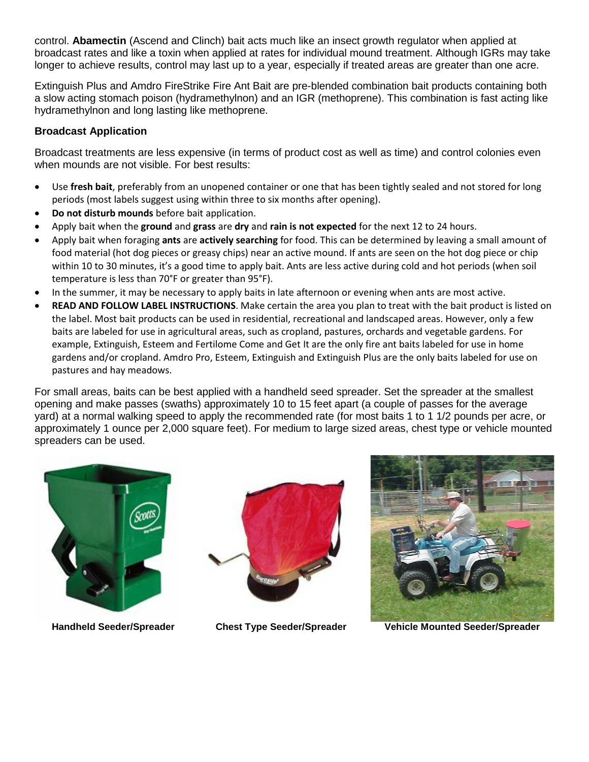control. **Abamectin** (Ascend and Clinch) bait acts much like an insect growth regulator when applied at broadcast rates and like a toxin when applied at rates for individual mound treatment. Although IGRs may take longer to achieve results, control may last up to a year, especially if treated areas are greater than one acre.

Extinguish Plus and Amdro FireStrike Fire Ant Bait are pre-blended combination bait products containing both a slow acting stomach poison (hydramethylnon) and an IGR (methoprene). This combination is fast acting like hydramethylnon and long lasting like methoprene.

#### **Broadcast Application**

Broadcast treatments are less expensive (in terms of product cost as well as time) and control colonies even when mounds are not visible. For best results:

- Use **fresh bait**, preferably from an unopened container or one that has been tightly sealed and not stored for long periods (most labels suggest using within three to six months after opening).
- **Do not disturb mounds** before bait application.
- Apply bait when the **ground** and **grass** are **dry** and **rain is not expected** for the next 12 to 24 hours.
- Apply bait when foraging **ants** are **actively searching** for food. This can be determined by leaving a small amount of food material (hot dog pieces or greasy chips) near an active mound. If ants are seen on the hot dog piece or chip within 10 to 30 minutes, it's a good time to apply bait. Ants are less active during cold and hot periods (when soil temperature is less than 70°F or greater than 95°F).
- In the summer, it may be necessary to apply baits in late afternoon or evening when ants are most active.
- **READ AND FOLLOW LABEL INSTRUCTIONS**. Make certain the area you plan to treat with the bait product is listed on the label. Most bait products can be used in residential, recreational and landscaped areas. However, only a few baits are labeled for use in agricultural areas, such as cropland, pastures, orchards and vegetable gardens. For example, Extinguish, Esteem and Fertilome Come and Get It are the only fire ant baits labeled for use in home gardens and/or cropland. Amdro Pro, Esteem, Extinguish and Extinguish Plus are the only baits labeled for use on pastures and hay meadows.

For small areas, baits can be best applied with a handheld seed spreader. Set the spreader at the smallest opening and make passes (swaths) approximately 10 to 15 feet apart (a couple of passes for the average yard) at a normal walking speed to apply the recommended rate (for most baits 1 to 1 1/2 pounds per acre, or approximately 1 ounce per 2,000 square feet). For medium to large sized areas, chest type or vehicle mounted spreaders can be used.







**Handheld Seeder/Spreader Chest Type Seeder/Spreader Vehicle Mounted Seeder/Spreader**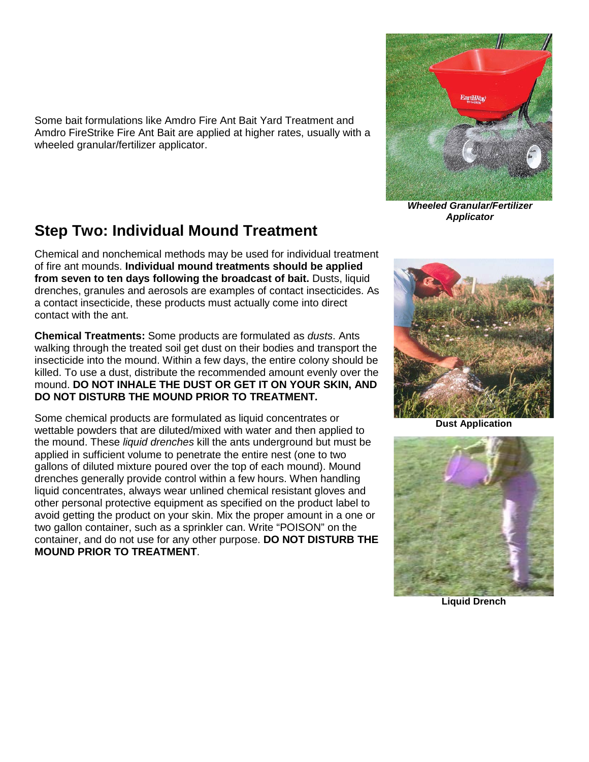Some bait formulations like Amdro Fire Ant Bait Yard Treatment and Amdro FireStrike Fire Ant Bait are applied at higher rates, usually with a wheeled granular/fertilizer applicator.

## **Step Two: Individual Mound Treatment**

Chemical and nonchemical methods may be used for individual treatment of fire ant mounds. **Individual mound treatments should be applied from seven to ten days following the broadcast of bait.** Dusts, liquid drenches, granules and aerosols are examples of contact insecticides. As a contact insecticide, these products must actually come into direct contact with the ant.

**Chemical Treatments:** Some products are formulated as *dusts*. Ants walking through the treated soil get dust on their bodies and transport the insecticide into the mound. Within a few days, the entire colony should be killed. To use a dust, distribute the recommended amount evenly over the mound. **DO NOT INHALE THE DUST OR GET IT ON YOUR SKIN, AND DO NOT DISTURB THE MOUND PRIOR TO TREATMENT.**

Some chemical products are formulated as liquid concentrates or wettable powders that are diluted/mixed with water and then applied to the mound. These *liquid drenches* kill the ants underground but must be applied in sufficient volume to penetrate the entire nest (one to two gallons of diluted mixture poured over the top of each mound). Mound drenches generally provide control within a few hours. When handling liquid concentrates, always wear unlined chemical resistant gloves and other personal protective equipment as specified on the product label to avoid getting the product on your skin. Mix the proper amount in a one or two gallon container, such as a sprinkler can. Write "POISON" on the container, and do not use for any other purpose. **DO NOT DISTURB THE MOUND PRIOR TO TREATMENT**.



*Wheeled Granular/Fertilizer Applicator*



**Dust Application**



**Liquid Drench**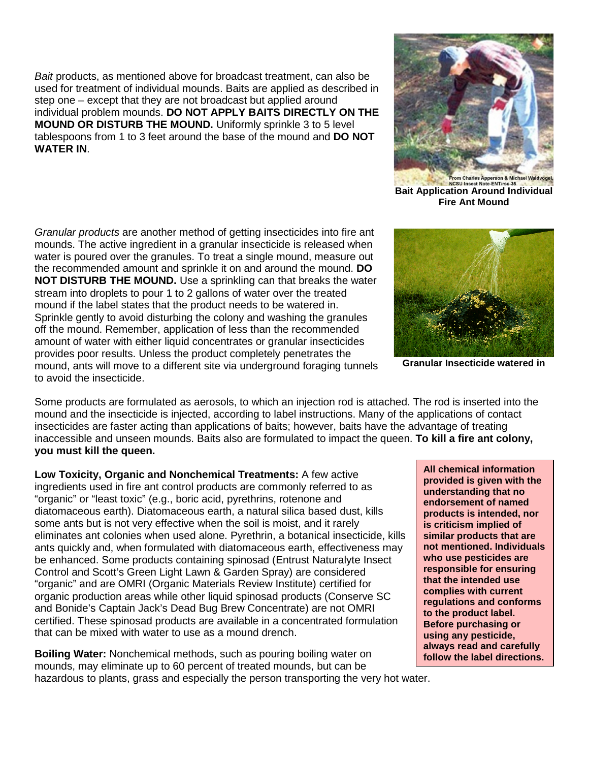*Bait* products, as mentioned above for broadcast treatment, can also be used for treatment of individual mounds. Baits are applied as described in step one – except that they are not broadcast but applied around individual problem mounds. **DO NOT APPLY BAITS DIRECTLY ON THE MOUND OR DISTURB THE MOUND.** Uniformly sprinkle 3 to 5 level tablespoons from 1 to 3 feet around the base of the mound and **DO NOT WATER IN**.

*Granular products* are another method of getting insecticides into fire ant mounds. The active ingredient in a granular insecticide is released when water is poured over the granules. To treat a single mound, measure out the recommended amount and sprinkle it on and around the mound. **DO NOT DISTURB THE MOUND.** Use a sprinkling can that breaks the water stream into droplets to pour 1 to 2 gallons of water over the treated mound if the label states that the product needs to be watered in. Sprinkle gently to avoid disturbing the colony and washing the granules off the mound. Remember, application of less than the recommended amount of water with either liquid concentrates or granular insecticides provides poor results. Unless the product completely penetrates the mound, ants will move to a different site via underground foraging tunnels to avoid the insecticide.

Some products are formulated as aerosols, to which an injection rod is attached. The rod is inserted into the mound and the insecticide is injected, according to label instructions. Many of the applications of contact insecticides are faster acting than applications of baits; however, baits have the advantage of treating inaccessible and unseen mounds. Baits also are formulated to impact the queen. **To kill a fire ant colony, you must kill the queen.**

**Low Toxicity, Organic and Nonchemical Treatments:** A few active ingredients used in fire ant control products are commonly referred to as "organic" or "least toxic" (e.g., boric acid, pyrethrins, rotenone and diatomaceous earth). Diatomaceous earth, a natural silica based dust, kills some ants but is not very effective when the soil is moist, and it rarely eliminates ant colonies when used alone. Pyrethrin, a botanical insecticide, kills ants quickly and, when formulated with diatomaceous earth, effectiveness may be enhanced. Some products containing spinosad (Entrust Naturalyte Insect Control and Scott's Green Light Lawn & Garden Spray) are considered "organic" and are OMRI (Organic Materials Review Institute) certified for organic production areas while other liquid spinosad products (Conserve SC and Bonide's Captain Jack's Dead Bug Brew Concentrate) are not OMRI certified. These spinosad products are available in a concentrated formulation that can be mixed with water to use as a mound drench.

**Boiling Water:** Nonchemical methods, such as pouring boiling water on mounds, may eliminate up to 60 percent of treated mounds, but can be hazardous to plants, grass and especially the person transporting the very hot water.

**All chemical information provided is given with the understanding that no endorsement of named products is intended, nor is criticism implied of similar products that are not mentioned. Individuals who use pesticides are responsible for ensuring that the intended use complies with current regulations and conforms to the product label.** 

> **Before purchasing or using any pesticide, always read and carefully follow the label directions.**

**Granular Insecticide watered in**